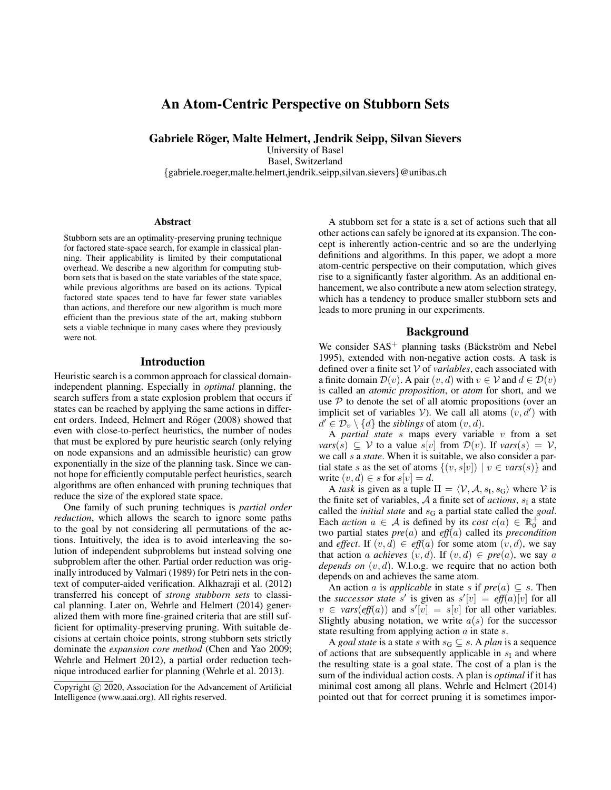# An Atom-Centric Perspective on Stubborn Sets

Gabriele Röger, Malte Helmert, Jendrik Seipp, Silvan Sievers

University of Basel Basel, Switzerland

{gabriele.roeger,malte.helmert,jendrik.seipp,silvan.sievers}@unibas.ch

#### Abstract

Stubborn sets are an optimality-preserving pruning technique for factored state-space search, for example in classical planning. Their applicability is limited by their computational overhead. We describe a new algorithm for computing stubborn sets that is based on the state variables of the state space, while previous algorithms are based on its actions. Typical factored state spaces tend to have far fewer state variables than actions, and therefore our new algorithm is much more efficient than the previous state of the art, making stubborn sets a viable technique in many cases where they previously were not.

# Introduction

Heuristic search is a common approach for classical domainindependent planning. Especially in *optimal* planning, the search suffers from a state explosion problem that occurs if states can be reached by applying the same actions in different orders. Indeed, Helmert and Röger (2008) showed that even with close-to-perfect heuristics, the number of nodes that must be explored by pure heuristic search (only relying on node expansions and an admissible heuristic) can grow exponentially in the size of the planning task. Since we cannot hope for efficiently computable perfect heuristics, search algorithms are often enhanced with pruning techniques that reduce the size of the explored state space.

One family of such pruning techniques is *partial order reduction*, which allows the search to ignore some paths to the goal by not considering all permutations of the actions. Intuitively, the idea is to avoid interleaving the solution of independent subproblems but instead solving one subproblem after the other. Partial order reduction was originally introduced by Valmari (1989) for Petri nets in the context of computer-aided verification. Alkhazraji et al. (2012) transferred his concept of *strong stubborn sets* to classical planning. Later on, Wehrle and Helmert (2014) generalized them with more fine-grained criteria that are still sufficient for optimality-preserving pruning. With suitable decisions at certain choice points, strong stubborn sets strictly dominate the *expansion core method* (Chen and Yao 2009; Wehrle and Helmert 2012), a partial order reduction technique introduced earlier for planning (Wehrle et al. 2013).

A stubborn set for a state is a set of actions such that all other actions can safely be ignored at its expansion. The concept is inherently action-centric and so are the underlying definitions and algorithms. In this paper, we adopt a more atom-centric perspective on their computation, which gives rise to a significantly faster algorithm. As an additional enhancement, we also contribute a new atom selection strategy, which has a tendency to produce smaller stubborn sets and leads to more pruning in our experiments.

#### Background

We consider  $SAS^+$  planning tasks (Bäckström and Nebel 1995), extended with non-negative action costs. A task is defined over a finite set V of *variables*, each associated with a finite domain  $\mathcal{D}(v)$ . A pair  $(v, d)$  with  $v \in V$  and  $d \in \mathcal{D}(v)$ is called an *atomic proposition*, or *atom* for short, and we use  $P$  to denote the set of all atomic propositions (over an implicit set of variables V). We call all atoms  $(v, d')$  with  $d' \in \mathcal{D}_v \setminus \{d\}$  the *siblings* of atom  $(v, d)$ .

A *partial state* s maps every variable v from a set *vars*(s)  $\subseteq$   $V$  to a value s[v] from  $\mathcal{D}(v)$ . If *vars*(s) =  $V$ , we call s a *state*. When it is suitable, we also consider a partial state s as the set of atoms  $\{(v, s[v]) \mid v \in vars(s)\}\$ and write  $(v, d) \in s$  for  $s[v] = d$ .

A *task* is given as a tuple  $\Pi = \langle V, A, s_I, s_G \rangle$  where V is the finite set of variables,  $A$  a finite set of *actions*,  $s<sub>1</sub>$  a state called the *initial state* and  $s_G$  a partial state called the *goal*. Each *action*  $a \in A$  is defined by its *cost*  $c(a) \in \mathbb{R}_0^+$  and two partial states *pre*(a) and *eff*(a) called its *precondition* and *effect*. If  $(v, d) \in eff(a)$  for some atom  $(v, d)$ , we say that action a *achieves*  $(v, d)$ . If  $(v, d) \in pre(a)$ , we say a *depends on* (v, d). W.l.o.g. we require that no action both depends on and achieves the same atom.

An action a is *applicable* in state s if  $pre(a) \subseteq s$ . Then the *successor state* s' is given as  $s'[v] = eff(a)[v]$  for all  $v \in vars(eff(a))$  and  $s'[v] = s[v]$  for all other variables. Slightly abusing notation, we write  $a(s)$  for the successor state resulting from applying action  $a$  in state  $s$ .

A *goal state* is a state s with  $s_G \subseteq s$ . A *plan* is a sequence of actions that are subsequently applicable in  $s_I$  and where the resulting state is a goal state. The cost of a plan is the sum of the individual action costs. A plan is *optimal* if it has minimal cost among all plans. Wehrle and Helmert (2014) pointed out that for correct pruning it is sometimes impor-

Copyright (c) 2020, Association for the Advancement of Artificial Intelligence (www.aaai.org). All rights reserved.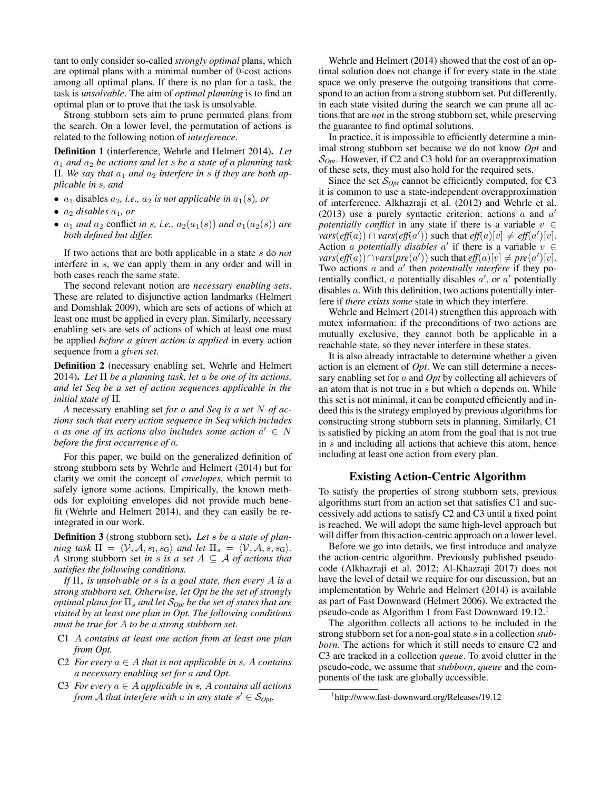tant to only consider so-called *strongly optimal* plans, which are optimal plans with a minimal number of 0-cost actions among all optimal plans. If there is no plan for a task, the task is *unsolvable*. The aim of *optimal planning* is to find an optimal plan or to prove that the task is unsolvable.

Strong stubborn sets aim to prune permuted plans from the search. On a lower level, the permutation of actions is related to the following notion of *interference*.

Definition 1 (interference, Wehrle and Helmert 2014). *Let*  $a_1$  *and*  $a_2$  *be actions and let s be a state of a planning task*  $\Pi$ *. We say that*  $a_1$  *and*  $a_2$  *interfere in s if they are both applicable in* s*, and*

- $a_1$  disables  $a_2$ , *i.e.*,  $a_2$  *is not applicable in*  $a_1(s)$ *, or*
- $a_2$  *disables*  $a_1$ *, or*
- $a_1$  *and*  $a_2$  conflict *in s, i.e.,*  $a_2(a_1(s))$  *and*  $a_1(a_2(s))$  *are both defined but differ.*

If two actions that are both applicable in a state s do *not* interfere in s, we can apply them in any order and will in both cases reach the same state.

The second relevant notion are *necessary enabling sets*. These are related to disjunctive action landmarks (Helmert and Domshlak 2009), which are sets of actions of which at least one must be applied in every plan. Similarly, necessary enabling sets are sets of actions of which at least one must be applied *before a given action is applied* in every action sequence from a *given set*.

Definition 2 (necessary enabling set, Wehrle and Helmert 2014). *Let* Π *be a planning task, let* a *be one of its actions, and let Seq be a set of action sequences applicable in the initial state of* Π*.*

*A* necessary enabling set *for* a *and Seq is a set* N *of actions such that every action sequence in Seq which includes*  $a$  as one of its actions also includes some action  $a' \in N$ *before the first occurrence of* a*.*

For this paper, we build on the generalized definition of strong stubborn sets by Wehrle and Helmert (2014) but for clarity we omit the concept of *envelopes*, which permit to safely ignore some actions. Empirically, the known methods for exploiting envelopes did not provide much benefit (Wehrle and Helmert 2014), and they can easily be reintegrated in our work.

Definition 3 (strong stubborn set). *Let* s *be a state of planning task*  $\Pi = \langle V, A, s_I, s_G \rangle$  *and let*  $\Pi_s = \langle V, A, s, s_G \rangle$ . *A* strong stubborn set *in* s *is* a set  $A \subseteq A$  *of actions that satisfies the following conditions.*

*If*  $\Pi_s$  *is unsolvable or s is a goal state, then every A is a strong stubborn set. Otherwise, let Opt be the set of strongly optimal plans for*  $\Pi_s$  *and let*  $S_{0pt}$  *be the set of states that are visited by at least one plan in Opt. The following conditions must be true for* A *to be a strong stubborn set.*

- C1 A *contains at least one action from at least one plan from Opt.*
- C2 *For every*  $a \in A$  *that is not applicable in s, A contains a necessary enabling set for* a *and Opt.*
- C3 *For every*  $a \in A$  *applicable in s, A contains all actions from A that interfere with a in any state*  $s' \in \mathcal{S}_{Opt}$ *.*

Wehrle and Helmert (2014) showed that the cost of an optimal solution does not change if for every state in the state space we only preserve the outgoing transitions that correspond to an action from a strong stubborn set. Put differently, in each state visited during the search we can prune all actions that are *not* in the strong stubborn set, while preserving the guarantee to find optimal solutions.

In practice, it is impossible to efficiently determine a minimal strong stubborn set because we do not know *Opt* and S*Opt*. However, if C2 and C3 hold for an overapproximation of these sets, they must also hold for the required sets.

Since the set  $S_{Opt}$  cannot be efficiently computed, for C3 it is common to use a state-independent overapproximation of interference. Alkhazraji et al. (2012) and Wehrle et al. (2013) use a purely syntactic criterion: actions  $a$  and  $a'$ *potentially conflict* in any state if there is a variable  $v \in$ *vars*(*eff*(*a*)) ∩ *vars*(*eff*(*a'*)) such that  $\textit{eff}(a)[v] \neq \textit{eff}(a')[v]$ . Action a *potentially disables*  $a'$  if there is a variable  $v \in$ *vars*(*eff*(*a*))∩*vars*(*pre*(*a'*)) such that *eff*(*a*)[*v*]  $\neq$  *pre*(*a'*)[*v*]. Two actions a and a' then *potentially interfere* if they potentially conflict, a potentially disables  $a'$ , or  $a'$  potentially disables a. With this definition, two actions potentially interfere if *there exists some* state in which they interfere.

Wehrle and Helmert (2014) strengthen this approach with mutex information: if the preconditions of two actions are mutually exclusive, they cannot both be applicable in a reachable state, so they never interfere in these states.

It is also already intractable to determine whether a given action is an element of *Opt*. We can still determine a necessary enabling set for a and *Opt* by collecting all achievers of an atom that is not true in  $s$  but which  $a$  depends on. While this set is not minimal, it can be computed efficiently and indeed this is the strategy employed by previous algorithms for constructing strong stubborn sets in planning. Similarly, C1 is satisfied by picking an atom from the goal that is not true in s and including all actions that achieve this atom, hence including at least one action from every plan.

# Existing Action-Centric Algorithm

To satisfy the properties of strong stubborn sets, previous algorithms start from an action set that satisfies C1 and successively add actions to satisfy C2 and C3 until a fixed point is reached. We will adopt the same high-level approach but will differ from this action-centric approach on a lower level.

Before we go into details, we first introduce and analyze the action-centric algorithm. Previously published pseudocode (Alkhazraji et al. 2012; Al-Khazraji 2017) does not have the level of detail we require for our discussion, but an implementation by Wehrle and Helmert (2014) is available as part of Fast Downward (Helmert 2006). We extracted the pseudo-code as Algorithm 1 from Fast Downward 19.12.<sup>1</sup>

The algorithm collects all actions to be included in the strong stubborn set for a non-goal state s in a collection *stubborn*. The actions for which it still needs to ensure C2 and C3 are tracked in a collection *queue*. To avoid clutter in the pseudo-code, we assume that *stubborn*, *queue* and the components of the task are globally accessible.

<sup>1</sup> http://www.fast-downward.org/Releases/19.12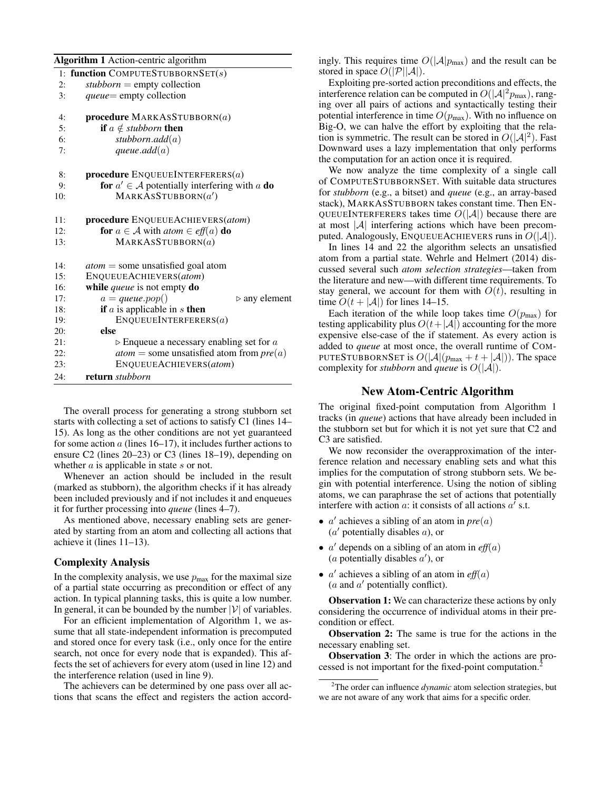| 1: function COMPUTESTUBBORNSET $(s)$<br>$\textit{stubborn} = \text{empty collection}$<br>2:<br><i>queue</i> = empty collection<br>3:<br><b>procedure</b> MARKASSTUBBORN $(a)$<br>4:<br><b>if</b> $a \notin$ <i>stubborn</i> <b>then</b><br>5:<br>stubborn.add $(a)$<br>6:<br>queue.add $(a)$<br>7:<br><b>procedure</b> ENQUEUEINTERFERERS $(a)$<br>8:<br>for $a' \in A$ potentially interfering with a do<br>9:<br>MARKASSTUBBORN(a')<br>10:<br>procedure ENQUEUEACHIEVERS(atom)<br>11:<br>for $a \in A$ with $atom \in eff(a)$ do<br>12:<br>MARKASSTUBBORN(a)<br>13:<br>$atom =$ some unsatisfied goal atom<br>14:<br>ENQUEUEACHIEVERS(atom)<br>15:<br>while queue is not empty do<br>16:<br>$a = queue.pop()$<br>17:<br>if $a$ is applicable in $s$ then<br>18:<br>ENQUEUEINTERFERERS(a)<br>19:<br>else<br>20:<br>$\triangleright$ Enqueue a necessary enabling set for a<br>21:<br>22:<br>ENQUEUEACHIEVERS(atom)<br>23:<br>return stubborn<br>24: | <b>Algorithm 1</b> Action-centric algorithm       |
|------------------------------------------------------------------------------------------------------------------------------------------------------------------------------------------------------------------------------------------------------------------------------------------------------------------------------------------------------------------------------------------------------------------------------------------------------------------------------------------------------------------------------------------------------------------------------------------------------------------------------------------------------------------------------------------------------------------------------------------------------------------------------------------------------------------------------------------------------------------------------------------------------------------------------------------------------|---------------------------------------------------|
|                                                                                                                                                                                                                                                                                                                                                                                                                                                                                                                                                                                                                                                                                                                                                                                                                                                                                                                                                      |                                                   |
|                                                                                                                                                                                                                                                                                                                                                                                                                                                                                                                                                                                                                                                                                                                                                                                                                                                                                                                                                      |                                                   |
|                                                                                                                                                                                                                                                                                                                                                                                                                                                                                                                                                                                                                                                                                                                                                                                                                                                                                                                                                      |                                                   |
|                                                                                                                                                                                                                                                                                                                                                                                                                                                                                                                                                                                                                                                                                                                                                                                                                                                                                                                                                      |                                                   |
|                                                                                                                                                                                                                                                                                                                                                                                                                                                                                                                                                                                                                                                                                                                                                                                                                                                                                                                                                      |                                                   |
|                                                                                                                                                                                                                                                                                                                                                                                                                                                                                                                                                                                                                                                                                                                                                                                                                                                                                                                                                      |                                                   |
|                                                                                                                                                                                                                                                                                                                                                                                                                                                                                                                                                                                                                                                                                                                                                                                                                                                                                                                                                      |                                                   |
|                                                                                                                                                                                                                                                                                                                                                                                                                                                                                                                                                                                                                                                                                                                                                                                                                                                                                                                                                      |                                                   |
|                                                                                                                                                                                                                                                                                                                                                                                                                                                                                                                                                                                                                                                                                                                                                                                                                                                                                                                                                      |                                                   |
|                                                                                                                                                                                                                                                                                                                                                                                                                                                                                                                                                                                                                                                                                                                                                                                                                                                                                                                                                      |                                                   |
|                                                                                                                                                                                                                                                                                                                                                                                                                                                                                                                                                                                                                                                                                                                                                                                                                                                                                                                                                      |                                                   |
|                                                                                                                                                                                                                                                                                                                                                                                                                                                                                                                                                                                                                                                                                                                                                                                                                                                                                                                                                      |                                                   |
|                                                                                                                                                                                                                                                                                                                                                                                                                                                                                                                                                                                                                                                                                                                                                                                                                                                                                                                                                      |                                                   |
|                                                                                                                                                                                                                                                                                                                                                                                                                                                                                                                                                                                                                                                                                                                                                                                                                                                                                                                                                      |                                                   |
|                                                                                                                                                                                                                                                                                                                                                                                                                                                                                                                                                                                                                                                                                                                                                                                                                                                                                                                                                      |                                                   |
|                                                                                                                                                                                                                                                                                                                                                                                                                                                                                                                                                                                                                                                                                                                                                                                                                                                                                                                                                      |                                                   |
|                                                                                                                                                                                                                                                                                                                                                                                                                                                                                                                                                                                                                                                                                                                                                                                                                                                                                                                                                      | $\triangleright$ any element                      |
|                                                                                                                                                                                                                                                                                                                                                                                                                                                                                                                                                                                                                                                                                                                                                                                                                                                                                                                                                      |                                                   |
|                                                                                                                                                                                                                                                                                                                                                                                                                                                                                                                                                                                                                                                                                                                                                                                                                                                                                                                                                      |                                                   |
|                                                                                                                                                                                                                                                                                                                                                                                                                                                                                                                                                                                                                                                                                                                                                                                                                                                                                                                                                      |                                                   |
|                                                                                                                                                                                                                                                                                                                                                                                                                                                                                                                                                                                                                                                                                                                                                                                                                                                                                                                                                      |                                                   |
|                                                                                                                                                                                                                                                                                                                                                                                                                                                                                                                                                                                                                                                                                                                                                                                                                                                                                                                                                      | <i>atom</i> = some unsatisfied atom from $pre(a)$ |
|                                                                                                                                                                                                                                                                                                                                                                                                                                                                                                                                                                                                                                                                                                                                                                                                                                                                                                                                                      |                                                   |
|                                                                                                                                                                                                                                                                                                                                                                                                                                                                                                                                                                                                                                                                                                                                                                                                                                                                                                                                                      |                                                   |

The overall process for generating a strong stubborn set starts with collecting a set of actions to satisfy C1 (lines 14– 15). As long as the other conditions are not yet guaranteed for some action  $a$  (lines 16–17), it includes further actions to ensure C2 (lines 20–23) or C3 (lines 18–19), depending on whether  $a$  is applicable in state  $s$  or not.

Whenever an action should be included in the result (marked as stubborn), the algorithm checks if it has already been included previously and if not includes it and enqueues it for further processing into *queue* (lines 4–7).

As mentioned above, necessary enabling sets are generated by starting from an atom and collecting all actions that achieve it (lines 11–13).

#### Complexity Analysis

In the complexity analysis, we use  $p_{\text{max}}$  for the maximal size of a partial state occurring as precondition or effect of any action. In typical planning tasks, this is quite a low number. In general, it can be bounded by the number  $|V|$  of variables.

For an efficient implementation of Algorithm 1, we assume that all state-independent information is precomputed and stored once for every task (i.e., only once for the entire search, not once for every node that is expanded). This affects the set of achievers for every atom (used in line 12) and the interference relation (used in line 9).

The achievers can be determined by one pass over all actions that scans the effect and registers the action accordingly. This requires time  $O(|A|p_{\text{max}})$  and the result can be stored in space  $O(|\mathcal{P}||\mathcal{A}|)$ .

Exploiting pre-sorted action preconditions and effects, the interference relation can be computed in  $O(|A|^2p_{\text{max}})$ , ranging over all pairs of actions and syntactically testing their potential interference in time  $O(p_{\text{max}})$ . With no influence on Big-O, we can halve the effort by exploiting that the relation is symmetric. The result can be stored in  $O(|A|^2)$ . Fast Downward uses a lazy implementation that only performs the computation for an action once it is required.

We now analyze the time complexity of a single call of COMPUTESTUBBORNSET. With suitable data structures for *stubborn* (e.g., a bitset) and *queue* (e.g., an array-based stack), MARKASSTUBBORN takes constant time. Then EN-QUEUEINTERFERERS takes time  $O(|A|)$  because there are at most  $|\mathcal{A}|$  interfering actions which have been precomputed. Analogously, ENQUEUEACHIEVERS runs in  $O(|A|)$ .

In lines 14 and 22 the algorithm selects an unsatisfied atom from a partial state. Wehrle and Helmert (2014) discussed several such *atom selection strategies*—taken from the literature and new—with different time requirements. To stay general, we account for them with  $O(t)$ , resulting in time  $O(t + |\mathcal{A}|)$  for lines 14–15.

Each iteration of the while loop takes time  $O(p_{\text{max}})$  for testing applicability plus  $O(t+|A|)$  accounting for the more expensive else-case of the if statement. As every action is added to *queue* at most once, the overall runtime of COM-PUTESTUBBORNSET is  $O(|A|(p_{max} + t + |A|))$ . The space complexity for *stubborn* and *queue* is  $O(|A|)$ .

#### New Atom-Centric Algorithm

The original fixed-point computation from Algorithm 1 tracks (in *queue*) actions that have already been included in the stubborn set but for which it is not yet sure that C2 and C3 are satisfied.

We now reconsider the overapproximation of the interference relation and necessary enabling sets and what this implies for the computation of strong stubborn sets. We begin with potential interference. Using the notion of sibling atoms, we can paraphrase the set of actions that potentially interfere with action  $a$ : it consists of all actions  $a'$  s.t.

- $a'$  achieves a sibling of an atom in  $pre(a)$  $(a'$  potentially disables  $a$ ), or
- $a'$  depends on a sibling of an atom in  $\text{eff}(a)$ (*a* potentially disables  $a'$ ), or
- $a'$  achieves a sibling of an atom in  $\text{eff}(a)$ ( $a$  and  $a'$  potentially conflict).

**Observation 1:** We can characterize these actions by only considering the occurrence of individual atoms in their precondition or effect.

Observation 2: The same is true for the actions in the necessary enabling set.

Observation 3: The order in which the actions are processed is not important for the fixed-point computation.<sup>2</sup>

<sup>2</sup>The order can influence *dynamic* atom selection strategies, but we are not aware of any work that aims for a specific order.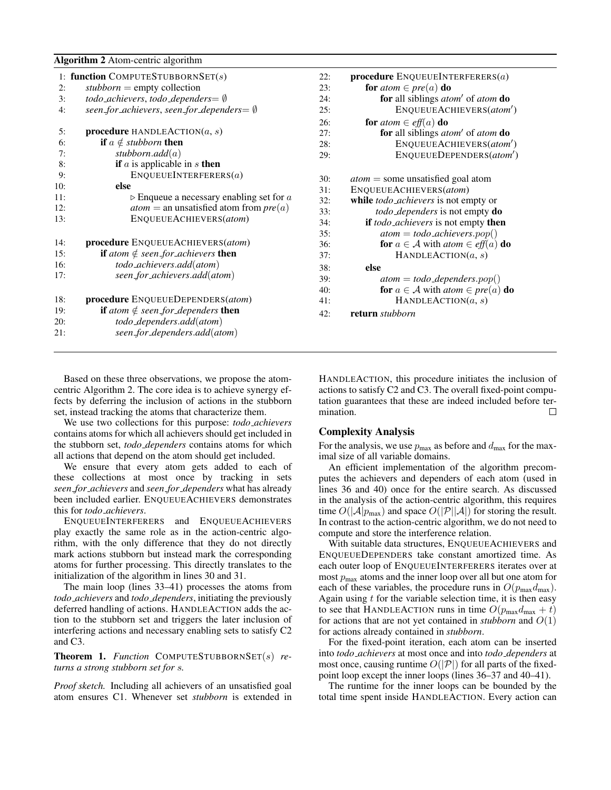|     | <b>Algorithm 2</b> Atom-centric algorithm               |     |                                                                                         |
|-----|---------------------------------------------------------|-----|-----------------------------------------------------------------------------------------|
|     | 1: function COMPUTESTUBBORNSET(s)                       | 22: | procedure $ENQUEUEINTERFERERS(a)$                                                       |
| 2:  | $\textit{student} = \text{empty collection}$            | 23: | for <i>atom</i> $\in$ <i>pre</i> ( <i>a</i> ) <b>do</b>                                 |
| 3:  | todo_achievers, todo_dependers= $\emptyset$             | 24: | for all siblings <i>atom'</i> of <i>atom</i> do                                         |
| 4:  | seen_for_achievers, seen_for_dependers= $\emptyset$     | 25: | ENQUEUEACHIEVERS(atom')                                                                 |
|     |                                                         | 26: | for <i>atom</i> $\in$ <i>eff</i> ( <i>a</i> ) <b>do</b>                                 |
| 5:  | procedure HANDLEACTION $(a, s)$                         | 27: | for all siblings <i>atom'</i> of <i>atom</i> do                                         |
| 6:  | <b>if</b> $a \notin$ <i>stubborn</i> <b>then</b>        | 28: | ENQUEUEACHIEVERS(atom')                                                                 |
| 7:  | stubborn.add $(a)$                                      | 29: | ENQUEUEDEPENDERS(atom')                                                                 |
| 8:  | if $a$ is applicable in $s$ then                        |     |                                                                                         |
| 9:  | ENQUEUEINTERFERERS(a)                                   | 30: | $atom =$ some unsatisfied goal atom                                                     |
| 10: | else                                                    | 31: | ENQUEUEACHIEVERS(atom)                                                                  |
| 11: | $\triangleright$ Enqueue a necessary enabling set for a | 32: | while <i>todo_achievers</i> is not empty or                                             |
| 12: | $atom =$ an unsatisfied atom from $pre(a)$              | 33: | todo_dependers is not empty do                                                          |
| 13: | ENQUEUEACHIEVERS(atom)                                  | 34: | if todo_achievers is not empty then                                                     |
|     |                                                         | 35: | $atom = todo\_achieves.pop()$                                                           |
| 14: | procedure ENQUEUEACHIEVERS(atom)                        | 36: | <b>for</b> $a \in \mathcal{A}$ with <i>atom</i> $\in$ <i>eff</i> ( <i>a</i> ) <b>do</b> |
| 15: | <b>if</b> atom $\notin$ seen for achievers <b>then</b>  | 37: | HANDLEACTION $(a, s)$                                                                   |
| 16: | todo_achievers.add(atom)                                | 38: | else                                                                                    |
| 17: | seen_for_achievers.add(atom)                            | 39: | $atom = todo \_ dependsers.pop()$                                                       |
|     |                                                         | 40: | <b>for</b> $a \in A$ with <i>atom</i> $\in$ <i>pre</i> ( <i>a</i> ) <b>do</b>           |
| 18: | procedure ENQUEUEDEPENDERS(atom)                        | 41: | HANDLEACTION $(a, s)$                                                                   |
| 19: | <b>if</b> atom $\notin$ seen_for_dependers <b>then</b>  | 42: | return stubborn                                                                         |
| 20: | todo_dependers.add(atom)                                |     |                                                                                         |
| 21: | seen_for_dependers.add(atom)                            |     |                                                                                         |
|     |                                                         |     |                                                                                         |

Based on these three observations, we propose the atomcentric Algorithm 2. The core idea is to achieve synergy effects by deferring the inclusion of actions in the stubborn set, instead tracking the atoms that characterize them.

We use two collections for this purpose: *todo achievers* contains atoms for which all achievers should get included in the stubborn set, *todo dependers* contains atoms for which all actions that depend on the atom should get included.

We ensure that every atom gets added to each of these collections at most once by tracking in sets *seen for achievers* and *seen for dependers* what has already been included earlier. ENQUEUEACHIEVERS demonstrates this for *todo achievers*.

ENQUEUEINTERFERERS and ENQUEUEACHIEVERS play exactly the same role as in the action-centric algorithm, with the only difference that they do not directly mark actions stubborn but instead mark the corresponding atoms for further processing. This directly translates to the initialization of the algorithm in lines 30 and 31.

The main loop (lines 33–41) processes the atoms from *todo achievers* and *todo dependers*, initiating the previously deferred handling of actions. HANDLEACTION adds the action to the stubborn set and triggers the later inclusion of interfering actions and necessary enabling sets to satisfy C2 and C3.

Theorem 1. *Function* COMPUTESTUBBORNSET(s) *returns a strong stubborn set for* s*.*

*Proof sketch.* Including all achievers of an unsatisfied goal atom ensures C1. Whenever set *stubborn* is extended in

ERS(*atom*) 32: while *todo achievers* is not empty or 33: *todo dependers* is not empty do *rs* is not empty **then** 35: *atom* = *todo achievers*.pop() with  $atom \in \textit{eff}(a)$  **do**  $EACTION(a, s)$ 39: *atom* = *todo dependers*.pop() with  $atom \in pre(a)$  **do**  $LEACTION(a, s)$ 

HANDLEACTION, this procedure initiates the inclusion of actions to satisfy C2 and C3. The overall fixed-point computation guarantees that these are indeed included before termination. П

# Complexity Analysis

For the analysis, we use  $p_{\text{max}}$  as before and  $d_{\text{max}}$  for the maximal size of all variable domains.

An efficient implementation of the algorithm precomputes the achievers and dependers of each atom (used in lines 36 and 40) once for the entire search. As discussed in the analysis of the action-centric algorithm, this requires time  $O(|\mathcal{A}|p_{\text{max}})$  and space  $O(|\mathcal{P}||\mathcal{A}|)$  for storing the result. In contrast to the action-centric algorithm, we do not need to compute and store the interference relation.

With suitable data structures, ENQUEUEACHIEVERS and ENQUEUEDEPENDERS take constant amortized time. As each outer loop of ENQUEUEINTERFERERS iterates over at most  $p_{\text{max}}$  atoms and the inner loop over all but one atom for each of these variables, the procedure runs in  $O(p_{\text{max}}d_{\text{max}})$ . Again using  $t$  for the variable selection time, it is then easy to see that HANDLEACTION runs in time  $O(p_{\text{max}}d_{\text{max}} + t)$ for actions that are not yet contained in *stubborn* and  $O(1)$ for actions already contained in *stubborn*.

For the fixed-point iteration, each atom can be inserted into *todo achievers* at most once and into *todo dependers* at most once, causing runtime  $O(|\mathcal{P}|)$  for all parts of the fixedpoint loop except the inner loops (lines 36–37 and 40–41).

The runtime for the inner loops can be bounded by the total time spent inside HANDLEACTION. Every action can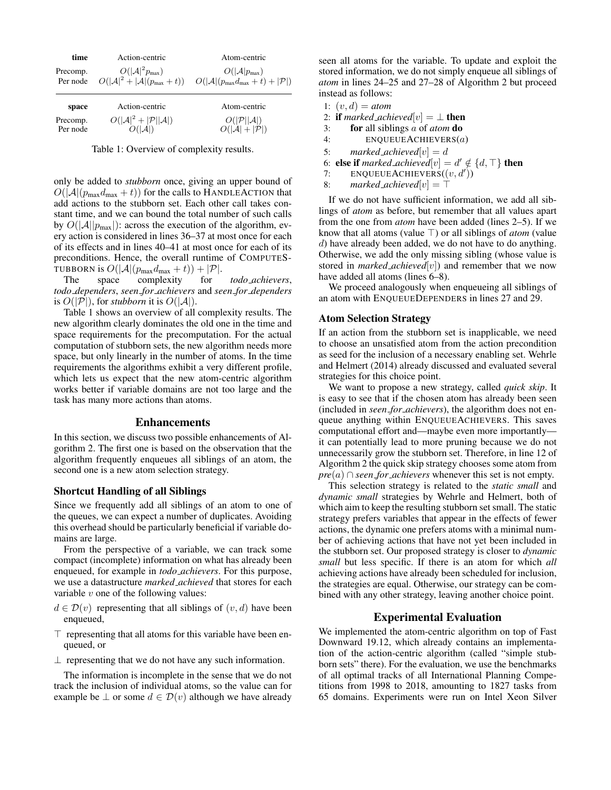| time                 | Action-centric               | Atom-centric                                                                                                                              |
|----------------------|------------------------------|-------------------------------------------------------------------------------------------------------------------------------------------|
| Precomp.<br>Per node | $O( \mathcal{A} ^2p_{\max})$ | $O( \mathcal{A} p_{\max})$<br>$O( \mathcal{A} ^2 +  \mathcal{A} (p_{\max} + t))$ $O( \mathcal{A} (p_{\max}d_{\max} + t) +  \mathcal{P} )$ |

| space    | Action-centric                                    | Atom-centric                     |
|----------|---------------------------------------------------|----------------------------------|
| Precomp. | $O( \mathcal{A} ^2 +  \mathcal{P}  \mathcal{A} )$ | $O( \mathcal{P}  \mathcal{A} )$  |
| Per node | O( A )                                            | $O( \mathcal{A} + \mathcal{P} )$ |

Table 1: Overview of complexity results.

only be added to *stubborn* once, giving an upper bound of  $O(|A|(p_{\text{max}}d_{\text{max}} + t))$  for the calls to HANDLEACTION that add actions to the stubborn set. Each other call takes constant time, and we can bound the total number of such calls by  $O(|A||p_{\text{max}}|)$ : across the execution of the algorithm, every action is considered in lines 36–37 at most once for each of its effects and in lines 40–41 at most once for each of its preconditions. Hence, the overall runtime of COMPUTES-TUBBORN is  $O(|A|(p_{\text{max}}d_{\text{max}} + t)) + |\mathcal{P}|$ .<br>The space complexity for

for *todo\_achievers*, *todo dependers*, *seen for achievers* and *seen for dependers* is  $O(|\mathcal{P}|)$ , for *stubborn* it is  $O(|\mathcal{A}|)$ .

Table 1 shows an overview of all complexity results. The new algorithm clearly dominates the old one in the time and space requirements for the precomputation. For the actual computation of stubborn sets, the new algorithm needs more space, but only linearly in the number of atoms. In the time requirements the algorithms exhibit a very different profile, which lets us expect that the new atom-centric algorithm works better if variable domains are not too large and the task has many more actions than atoms.

#### Enhancements

In this section, we discuss two possible enhancements of Algorithm 2. The first one is based on the observation that the algorithm frequently enqueues all siblings of an atom, the second one is a new atom selection strategy.

#### Shortcut Handling of all Siblings

Since we frequently add all siblings of an atom to one of the queues, we can expect a number of duplicates. Avoiding this overhead should be particularly beneficial if variable domains are large.

From the perspective of a variable, we can track some compact (incomplete) information on what has already been enqueued, for example in *todo achievers*. For this purpose, we use a datastructure *marked achieved* that stores for each variable  $v$  one of the following values:

- $d \in \mathcal{D}(v)$  representing that all siblings of  $(v, d)$  have been enqueued,
- $\top$  representing that all atoms for this variable have been enqueued, or
- $\perp$  representing that we do not have any such information.

The information is incomplete in the sense that we do not track the inclusion of individual atoms, so the value can for example be  $\bot$  or some  $d \in \mathcal{D}(v)$  although we have already

seen all atoms for the variable. To update and exploit the stored information, we do not simply enqueue all siblings of *atom* in lines 24–25 and 27–28 of Algorithm 2 but proceed instead as follows:

- 1:  $(v, d) = atom$
- 2: **if** *marked\_achieved*[v] =  $\perp$  **then**
- 3: for all siblings a of *atom* do
- 4: ENQUEUEACHIEVERS(a)
- 5: *marked\_achieved*[v] =  $d$
- 6: **else if** marked\_achieved $[v] = d' \notin \{d, \top\}$  **then**
- 7: ENQUEUEACHIEVERS $((v, d'))$
- 8: *marked\_achieved*[v] =  $\top$

If we do not have sufficient information, we add all siblings of *atom* as before, but remember that all values apart from the one from *atom* have been added (lines 2–5). If we know that all atoms (value  $\top$ ) or all siblings of *atom* (value d) have already been added, we do not have to do anything. Otherwise, we add the only missing sibling (whose value is stored in *marked\_achieved*[v]) and remember that we now have added all atoms (lines 6–8).

We proceed analogously when enqueueing all siblings of an atom with ENQUEUEDEPENDERS in lines 27 and 29.

## Atom Selection Strategy

If an action from the stubborn set is inapplicable, we need to choose an unsatisfied atom from the action precondition as seed for the inclusion of a necessary enabling set. Wehrle and Helmert (2014) already discussed and evaluated several strategies for this choice point.

We want to propose a new strategy, called *quick skip*. It is easy to see that if the chosen atom has already been seen (included in *seen for achievers*), the algorithm does not enqueue anything within ENQUEUEACHIEVERS. This saves computational effort and—maybe even more importantly it can potentially lead to more pruning because we do not unnecessarily grow the stubborn set. Therefore, in line 12 of Algorithm 2 the quick skip strategy chooses some atom from  $pre(a) \cap seen\_for\_achieves$  whenever this set is not empty.

This selection strategy is related to the *static small* and *dynamic small* strategies by Wehrle and Helmert, both of which aim to keep the resulting stubborn set small. The static strategy prefers variables that appear in the effects of fewer actions, the dynamic one prefers atoms with a minimal number of achieving actions that have not yet been included in the stubborn set. Our proposed strategy is closer to *dynamic small* but less specific. If there is an atom for which *all* achieving actions have already been scheduled for inclusion, the strategies are equal. Otherwise, our strategy can be combined with any other strategy, leaving another choice point.

# Experimental Evaluation

We implemented the atom-centric algorithm on top of Fast Downward 19.12, which already contains an implementation of the action-centric algorithm (called "simple stubborn sets" there). For the evaluation, we use the benchmarks of all optimal tracks of all International Planning Competitions from 1998 to 2018, amounting to 1827 tasks from 65 domains. Experiments were run on Intel Xeon Silver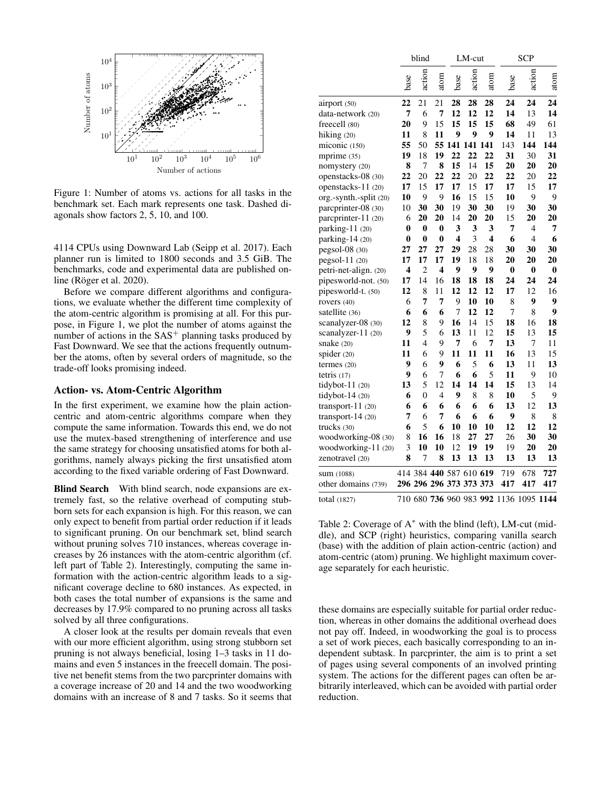

Figure 1: Number of atoms vs. actions for all tasks in the benchmark set. Each mark represents one task. Dashed diagonals show factors 2, 5, 10, and 100.

4114 CPUs using Downward Lab (Seipp et al. 2017). Each planner run is limited to 1800 seconds and 3.5 GiB. The benchmarks, code and experimental data are published online (Röger et al. 2020).

Before we compare different algorithms and configurations, we evaluate whether the different time complexity of the atom-centric algorithm is promising at all. For this purpose, in Figure 1, we plot the number of atoms against the number of actions in the  $SAS<sup>+</sup>$  planning tasks produced by Fast Downward. We see that the actions frequently outnumber the atoms, often by several orders of magnitude, so the trade-off looks promising indeed.

# Action- vs. Atom-Centric Algorithm

In the first experiment, we examine how the plain actioncentric and atom-centric algorithms compare when they compute the same information. Towards this end, we do not use the mutex-based strengthening of interference and use the same strategy for choosing unsatisfied atoms for both algorithms, namely always picking the first unsatisfied atom according to the fixed variable ordering of Fast Downward.

Blind Search With blind search, node expansions are extremely fast, so the relative overhead of computing stubborn sets for each expansion is high. For this reason, we can only expect to benefit from partial order reduction if it leads to significant pruning. On our benchmark set, blind search without pruning solves 710 instances, whereas coverage increases by 26 instances with the atom-centric algorithm (cf. left part of Table 2). Interestingly, computing the same information with the action-centric algorithm leads to a significant coverage decline to 680 instances. As expected, in both cases the total number of expansions is the same and decreases by 17.9% compared to no pruning across all tasks solved by all three configurations.

A closer look at the results per domain reveals that even with our more efficient algorithm, using strong stubborn set pruning is not always beneficial, losing 1–3 tasks in 11 domains and even 5 instances in the freecell domain. The positive net benefit stems from the two parcprinter domains with a coverage increase of 20 and 14 and the two woodworking domains with an increase of 8 and 7 tasks. So it seems that

|                        | blind    |          |      | LM-cut           |                         |      | <b>SCP</b> |                                        |      |
|------------------------|----------|----------|------|------------------|-------------------------|------|------------|----------------------------------------|------|
|                        | base     | action   | atom | base             | action                  | atom | base       | action                                 | atom |
| airport (50)           | 22       | 21       | 21   | 28               | 28                      | 28   | 24         | 24                                     | 24   |
| data-network (20)      | 7        | 6        | 7    | 12               | 12                      | 12   | 14         | 13                                     | 14   |
| freecell (80)          | 20       | 9        | 15   | 15               | 15                      | 15   | 68         | 49                                     | 61   |
| hiking $(20)$          | 11       | 8        | 11   | 9                | 9                       | 9    | 14         | 11                                     | 13   |
| miconic (150)          | 55       | 50       |      |                  | 55 141 141 141          |      | 143        | 144                                    | 144  |
| mprime (35)            | 19       | 18       | 19   | 22               | 22                      | 22   | 31         | 30                                     | 31   |
| nomystery (20)         | 8        | 7        | 8    | 15               | 14                      | 15   | 20         | 20                                     | 20   |
| openstacks-08 (30)     | 22       | 20       | 22   | 22               | 20                      | 22   | 22         | 20                                     | 22   |
| openstacks-11 (20)     | 17       | 15       | 17   | 17               | 15                      | 17   | 17         | 15                                     | 17   |
| org.-synth.-split (20) | 10       | 9        | 9    | 16               | 15                      | 15   | 10         | 9                                      | 9    |
| parcprinter-08 (30)    | 10       | 30       | 30   | 19               | 30                      | 30   | 19         | 30                                     | 30   |
| parcprinter-11 (20)    | 6        | 20       | 20   | 14               | 20                      | 20   | 15         | 20                                     | 20   |
| parking-11 (20)        | 0        | $\bf{0}$ | 0    | 3                | 3                       | 3    | 7          | 4                                      | 7    |
| parking-14 (20)        | $\bf{0}$ | $\bf{0}$ | 0    | 4                | 3                       | 4    | 6          | $\overline{4}$                         | 6    |
| pegsol-08 (30)         | 27       | 27       | 27   | 29               | 28                      | 28   | 30         | 30                                     | 30   |
| $pegsol-11(20)$        | 17       | 17       | 17   | 19               | 18                      | 18   | 20         | 20                                     | 20   |
| petri-net-align. (20)  | 4        | 2        | 4    | 9                | 9                       | 9    | $\bf{0}$   | 0                                      | 0    |
| pipesworld-not. (50)   | 17       | 14       | 16   | 18               | 18                      | 18   | 24         | 24                                     | 24   |
| pipesworld-t. (50)     | 12       | 8        | 11   | 12               | 12                      | 12   | 17         | 12                                     | 16   |
| rovers (40)            | 6        | 7        | 7    | 9                | 10                      | 10   | 8          | 9                                      | 9    |
| satellite (36)         | 6        | 6        | 6    | $\boldsymbol{7}$ | 12                      | 12   | 7          | 8                                      | 9    |
| scanalyzer-08 (30)     | 12       | 8        | 9    | 16               | 14                      | 15   | 18         | 16                                     | 18   |
| scanalyzer- $11(20)$   | 9        | 5        | 6    | 13               | 11                      | 12   | 15         | 13                                     | 15   |
| snake $(20)$           | 11       | 4        | 9    | 7                | 6                       | 7    | 13         | 7                                      | 11   |
| spider $(20)$          | 11       | 6        | 9    | 11               | 11                      | 11   | 16         | 13                                     | 15   |
| termes $(20)$          | 9        | 6        | 9    | 6                | 5                       | 6    | 13         | 11                                     | 13   |
| tetris $(17)$          | 9        | 6        | 7    | 6                | 6                       | 5    | 11         | 9                                      | 10   |
| tidybot-11 (20)        | 13       | 5        | 12   | 14               | 14                      | 14   | 15         | 13                                     | 14   |
| tidybot- $14(20)$      | 6        | 0        | 4    | 9                | 8                       | 8    | 10         | 5                                      | 9    |
| transport- $11(20)$    | 6        | 6        | 6    | 6                | 6                       | 6    | 13         | 12                                     | 13   |
| transport- $14(20)$    | 7        | 6        | 7    | 6                | 6                       | 6    | 9          | 8                                      | 8    |
| trucks (30)            | 6        | 5        | 6    | 10               | 10                      | 10   | 12         | 12                                     | 12   |
| woodworking-08 (30)    | 8        | 16       | 16   | 18               | 27                      | 27   | 26         | 30                                     | 30   |
| woodworking-11 (20)    | 3        | 10       | 10   | 12               | 19                      | 19   | 19         | 20                                     | 20   |
| zenotravel (20)        | 8        | 7        | 8    | 13               | 13                      | 13   | 13         | 13                                     | 13   |
| sum (1088)             |          |          |      |                  | 414 384 440 587 610 619 |      | 719        | 678                                    | 727  |
| other domains (739)    |          |          |      |                  | 296 296 296 373 373 373 |      | 417        | 417                                    | 417  |
| total (1827)           |          |          |      |                  |                         |      |            | 710 680 736 960 983 992 1136 1095 1144 |      |

Table 2: Coverage of  $A^*$  with the blind (left), LM-cut (middle), and SCP (right) heuristics, comparing vanilla search (base) with the addition of plain action-centric (action) and atom-centric (atom) pruning. We highlight maximum coverage separately for each heuristic.

these domains are especially suitable for partial order reduction, whereas in other domains the additional overhead does not pay off. Indeed, in woodworking the goal is to process a set of work pieces, each basically corresponding to an independent subtask. In parcprinter, the aim is to print a set of pages using several components of an involved printing system. The actions for the different pages can often be arbitrarily interleaved, which can be avoided with partial order reduction.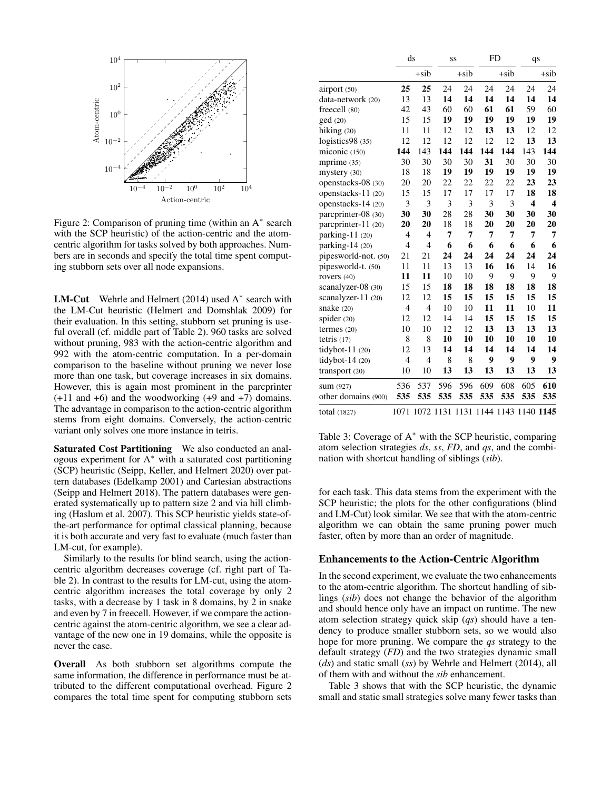

Figure 2: Comparison of pruning time (within an A∗ search with the SCP heuristic) of the action-centric and the atomcentric algorithm for tasks solved by both approaches. Numbers are in seconds and specify the total time spent computing stubborn sets over all node expansions.

**LM-Cut** Wehrle and Helmert  $(2014)$  used A<sup>\*</sup> search with the LM-Cut heuristic (Helmert and Domshlak 2009) for their evaluation. In this setting, stubborn set pruning is useful overall (cf. middle part of Table 2). 960 tasks are solved without pruning, 983 with the action-centric algorithm and 992 with the atom-centric computation. In a per-domain comparison to the baseline without pruning we never lose more than one task, but coverage increases in six domains. However, this is again most prominent in the parcprinter  $(+11$  and  $+6$ ) and the woodworking  $(+9$  and  $+7)$  domains. The advantage in comparison to the action-centric algorithm stems from eight domains. Conversely, the action-centric variant only solves one more instance in tetris.

Saturated Cost Partitioning We also conducted an analogous experiment for A<sup>∗</sup> with a saturated cost partitioning (SCP) heuristic (Seipp, Keller, and Helmert 2020) over pattern databases (Edelkamp 2001) and Cartesian abstractions (Seipp and Helmert 2018). The pattern databases were generated systematically up to pattern size 2 and via hill climbing (Haslum et al. 2007). This SCP heuristic yields state-ofthe-art performance for optimal classical planning, because it is both accurate and very fast to evaluate (much faster than LM-cut, for example).

Similarly to the results for blind search, using the actioncentric algorithm decreases coverage (cf. right part of Table 2). In contrast to the results for LM-cut, using the atomcentric algorithm increases the total coverage by only 2 tasks, with a decrease by 1 task in 8 domains, by 2 in snake and even by 7 in freecell. However, if we compare the actioncentric against the atom-centric algorithm, we see a clear advantage of the new one in 19 domains, while the opposite is never the case.

Overall As both stubborn set algorithms compute the same information, the difference in performance must be attributed to the different computational overhead. Figure 2 compares the total time spent for computing stubborn sets

|                      | ds             |                |     | SS      | <b>FD</b> |                     | qs                      |                         |  |
|----------------------|----------------|----------------|-----|---------|-----------|---------------------|-------------------------|-------------------------|--|
|                      |                | $+$ sib        |     | $+$ sib |           | $+$ sib             |                         | $+$ sib                 |  |
| airport (50)         | 25             | 25             | 24  | 24      | 24        | 24                  | 24                      | 24                      |  |
| data-network (20)    | 13             | 13             | 14  | 14      | 14        | 14                  | 14                      | 14                      |  |
| freecell (80)        | 42             | 43             | 60  | 60      | 61        | 61                  | 59                      | 60                      |  |
| ged(20)              | 15             | 15             | 19  | 19      | 19        | 19                  | 19                      | 19                      |  |
| hiking $(20)$        | 11             | 11             | 12  | 12      | 13        | 13                  | 12                      | 12                      |  |
| logistics98 (35)     | 12             | 12             | 12  | 12      | 12        | 12                  | 13                      | 13                      |  |
| miconic (150)        | 144            | 143            | 144 | 144     | 144       | 144                 | 143                     | 144                     |  |
| mprime (35)          | 30             | 30             | 30  | 30      | 31        | 30                  | 30                      | 30                      |  |
| mystery (30)         | 18             | 18             | 19  | 19      | 19        | 19                  | 19                      | 19                      |  |
| openstacks-08 (30)   | 20             | 20             | 22  | 22      | 22        | 22                  | 23                      | 23                      |  |
| openstacks-11 (20)   | 15             | 15             | 17  | 17      | 17        | 17                  | 18                      | 18                      |  |
| openstacks-14 (20)   | 3              | 3              | 3   | 3       | 3         | 3                   | $\overline{\mathbf{4}}$ | $\overline{\mathbf{4}}$ |  |
| parcprinter-08 (30)  | 30             | 30             | 28  | 28      | 30        | 30                  | 30                      | 30                      |  |
| parcprinter-11 (20)  | 20             | 20             | 18  | 18      | 20        | 20                  | 20                      | 20                      |  |
| parking-11 (20)      | 4              | $\overline{4}$ | 7   | 7       | 7         | 7                   | 7                       | 7                       |  |
| parking- $14(20)$    | $\overline{4}$ | $\overline{4}$ | 6   | 6       | 6         | 6                   | 6                       | 6                       |  |
| pipesworld-not. (50) | 21             | 21             | 24  | 24      | 24        | 24                  | 24                      | 24                      |  |
| pipesworld-t. (50)   | 11             | 11             | 13  | 13      | 16        | 16                  | 14                      | 16                      |  |
| rovers (40)          | 11             | 11             | 10  | 10      | 9         | 9                   | 9                       | 9                       |  |
| scanalyzer-08 (30)   | 15             | 15             | 18  | 18      | 18        | 18                  | 18                      | 18                      |  |
| scanalyzer- $11(20)$ | 12             | 12             | 15  | 15      | 15        | 15                  | 15                      | 15                      |  |
| snake $(20)$         | 4              | 4              | 10  | 10      | 11        | 11                  | 10                      | 11                      |  |
| spider $(20)$        | 12             | 12             | 14  | 14      | 15        | 15                  | 15                      | 15                      |  |
| termes $(20)$        | 10             | 10             | 12  | 12      | 13        | 13                  | 13                      | 13                      |  |
| tetris $(17)$        | 8              | 8              | 10  | 10      | 10        | 10                  | 10                      | 10                      |  |
| tidybot- $11(20)$    | 12             | 13             | 14  | 14      | 14        | 14                  | 14                      | 14                      |  |
| tidybot-14 $(20)$    | 4              | $\overline{4}$ | 8   | 8       | 9         | 9                   | 9                       | 9                       |  |
| transport (20)       | 10             | 10             | 13  | 13      | 13        | 13                  | 13                      | 13                      |  |
| sum (927)            | 536            | 537            | 596 | 596     | 609       | 608                 | 605                     | 610                     |  |
| other domains (900)  | 535            | 535            | 535 | 535     | 535       | 535                 | 535                     | 535                     |  |
| total (1827)         | 1071           | 1072 1131      |     | 1131    |           | 1144 1143 1140 1145 |                         |                         |  |

Table 3: Coverage of  $A^*$  with the SCP heuristic, comparing atom selection strategies *ds*, *ss*, *FD*, and *qs*, and the combination with shortcut handling of siblings (*sib*).

for each task. This data stems from the experiment with the SCP heuristic; the plots for the other configurations (blind and LM-Cut) look similar. We see that with the atom-centric algorithm we can obtain the same pruning power much faster, often by more than an order of magnitude.

# Enhancements to the Action-Centric Algorithm

In the second experiment, we evaluate the two enhancements to the atom-centric algorithm. The shortcut handling of siblings (*sib*) does not change the behavior of the algorithm and should hence only have an impact on runtime. The new atom selection strategy quick skip (*qs*) should have a tendency to produce smaller stubborn sets, so we would also hope for more pruning. We compare the *qs* strategy to the default strategy (*FD*) and the two strategies dynamic small (*ds*) and static small (*ss*) by Wehrle and Helmert (2014), all of them with and without the *sib* enhancement.

Table 3 shows that with the SCP heuristic, the dynamic small and static small strategies solve many fewer tasks than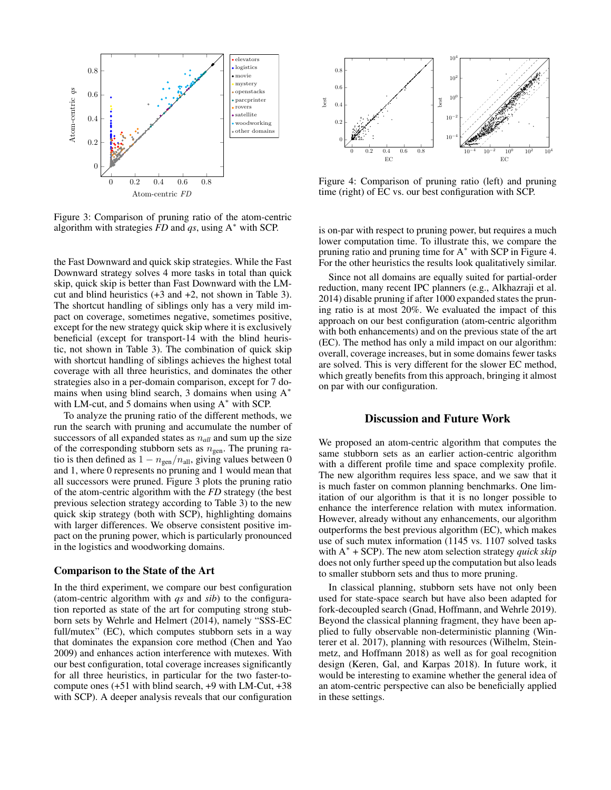

Figure 3: Comparison of pruning ratio of the atom-centric algorithm with strategies *FD* and *qs*, using A<sup>∗</sup> with SCP.

the Fast Downward and quick skip strategies. While the Fast Downward strategy solves 4 more tasks in total than quick skip, quick skip is better than Fast Downward with the LMcut and blind heuristics (+3 and +2, not shown in Table 3). The shortcut handling of siblings only has a very mild impact on coverage, sometimes negative, sometimes positive, except for the new strategy quick skip where it is exclusively beneficial (except for transport-14 with the blind heuristic, not shown in Table 3). The combination of quick skip with shortcut handling of siblings achieves the highest total coverage with all three heuristics, and dominates the other strategies also in a per-domain comparison, except for 7 domains when using blind search, 3 domains when using  $A^*$ with LM-cut, and 5 domains when using  $A^*$  with SCP.

To analyze the pruning ratio of the different methods, we run the search with pruning and accumulate the number of successors of all expanded states as  $n_{all}$  and sum up the size of the corresponding stubborn sets as  $n_{gen}$ . The pruning ratio is then defined as  $1 - n_{\text{gen}}/n_{\text{all}}$ , giving values between 0 and 1, where 0 represents no pruning and 1 would mean that all successors were pruned. Figure 3 plots the pruning ratio of the atom-centric algorithm with the *FD* strategy (the best previous selection strategy according to Table 3) to the new quick skip strategy (both with SCP), highlighting domains with larger differences. We observe consistent positive impact on the pruning power, which is particularly pronounced in the logistics and woodworking domains.

#### Comparison to the State of the Art

In the third experiment, we compare our best configuration (atom-centric algorithm with *qs* and *sib*) to the configuration reported as state of the art for computing strong stubborn sets by Wehrle and Helmert (2014), namely "SSS-EC full/mutex" (EC), which computes stubborn sets in a way that dominates the expansion core method (Chen and Yao 2009) and enhances action interference with mutexes. With our best configuration, total coverage increases significantly for all three heuristics, in particular for the two faster-tocompute ones  $(+51$  with blind search,  $+9$  with LM-Cut,  $+38$ with SCP). A deeper analysis reveals that our configuration



Figure 4: Comparison of pruning ratio (left) and pruning time (right) of EC vs. our best configuration with SCP.

is on-par with respect to pruning power, but requires a much lower computation time. To illustrate this, we compare the pruning ratio and pruning time for A∗ with SCP in Figure 4. For the other heuristics the results look qualitatively similar.

Since not all domains are equally suited for partial-order reduction, many recent IPC planners (e.g., Alkhazraji et al. 2014) disable pruning if after 1000 expanded states the pruning ratio is at most 20%. We evaluated the impact of this approach on our best configuration (atom-centric algorithm with both enhancements) and on the previous state of the art (EC). The method has only a mild impact on our algorithm: overall, coverage increases, but in some domains fewer tasks are solved. This is very different for the slower EC method, which greatly benefits from this approach, bringing it almost on par with our configuration.

## Discussion and Future Work

We proposed an atom-centric algorithm that computes the same stubborn sets as an earlier action-centric algorithm with a different profile time and space complexity profile. The new algorithm requires less space, and we saw that it is much faster on common planning benchmarks. One limitation of our algorithm is that it is no longer possible to enhance the interference relation with mutex information. However, already without any enhancements, our algorithm outperforms the best previous algorithm (EC), which makes use of such mutex information (1145 vs. 1107 solved tasks with A<sup>∗</sup> + SCP). The new atom selection strategy *quick skip* does not only further speed up the computation but also leads to smaller stubborn sets and thus to more pruning.

In classical planning, stubborn sets have not only been used for state-space search but have also been adapted for fork-decoupled search (Gnad, Hoffmann, and Wehrle 2019). Beyond the classical planning fragment, they have been applied to fully observable non-deterministic planning (Winterer et al. 2017), planning with resources (Wilhelm, Steinmetz, and Hoffmann 2018) as well as for goal recognition design (Keren, Gal, and Karpas 2018). In future work, it would be interesting to examine whether the general idea of an atom-centric perspective can also be beneficially applied in these settings.